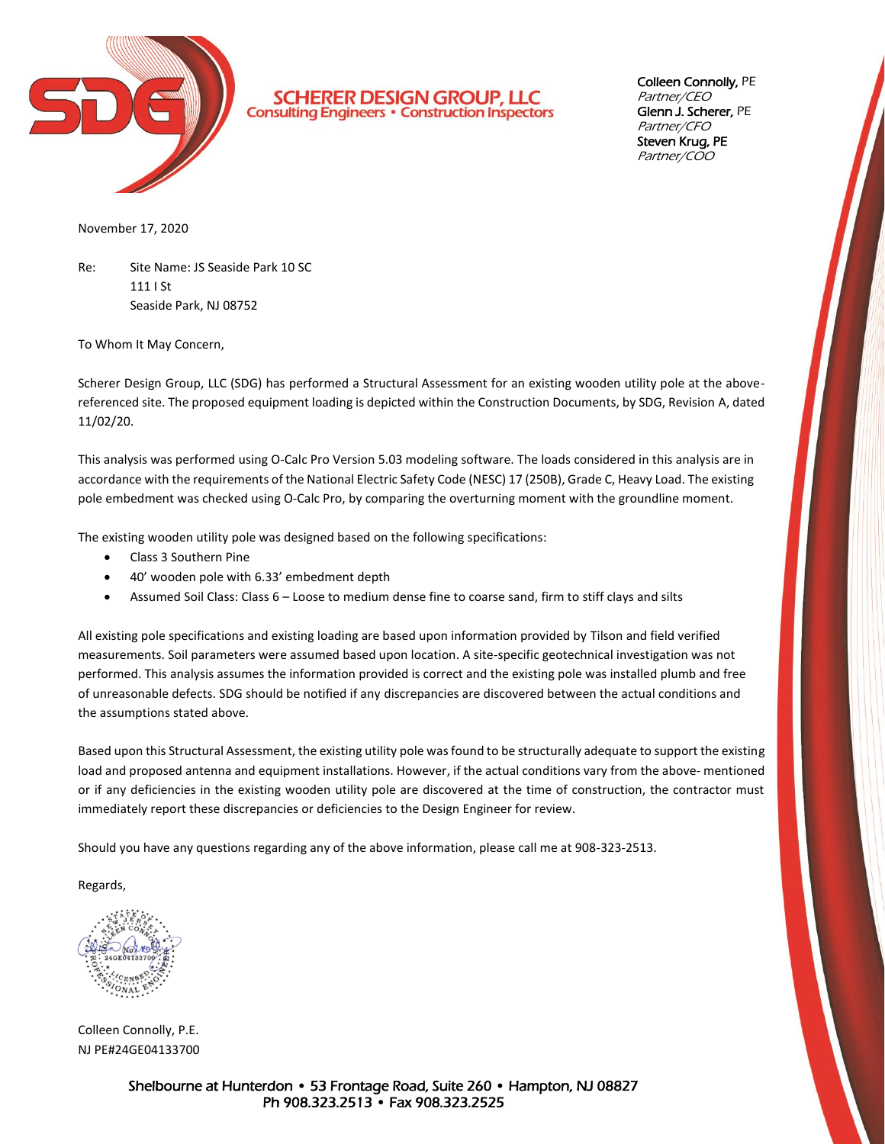

**SCHERER DESIGN GROUP, LLC**<br>Consulting Engineers · Construction Inspectors

Colleen Connolly, PE Partner/CEO Glenn J. Scherer, PE Partner/CFO Steven Krug, PE Partner/COO

November 17, 2020

Re: Site Name: JS Seaside Park 10 SC 111 I St Seaside Park, NJ 08752

To Whom It May Concern,

Scherer Design Group, LLC (SDG) has performed a Structural Assessment for an existing wooden utility pole at the abovereferenced site. The proposed equipment loading is depicted within the Construction Documents, by SDG, Revision A, dated 11/02/20.

This analysis was performed using O-Calc Pro Version 5.03 modeling software. The loads considered in this analysis are in accordance with the requirements of the National Electric Safety Code (NESC) 17 (250B), Grade C, Heavy Load. The existing pole embedment was checked using O-Calc Pro, by comparing the overturning moment with the groundline moment.

The existing wooden utility pole was designed based on the following specifications:

- Class 3 Southern Pine
- 40' wooden pole with 6.33' embedment depth
- Assumed Soil Class: Class 6 Loose to medium dense fine to coarse sand, firm to stiff clays and silts

All existing pole specifications and existing loading are based upon information provided by Tilson and field verified measurements. Soil parameters were assumed based upon location. A site-specific geotechnical investigation was not performed. This analysis assumes the information provided is correct and the existing pole was installed plumb and free of unreasonable defects. SDG should be notified if any discrepancies are discovered between the actual conditions and the assumptions stated above.

Based upon this Structural Assessment, the existing utility pole was found to be structurally adequate to support the existing load and proposed antenna and equipment installations. However, if the actual conditions vary from the above- mentioned or if any deficiencies in the existing wooden utility pole are discovered at the time of construction, the contractor must immediately report these discrepancies or deficiencies to the Design Engineer for review.

Should you have any questions regarding any of the above information, please call me at 908-323-2513.

Regards,

Colleen Connolly, P.E. NJ PE#24GE04133700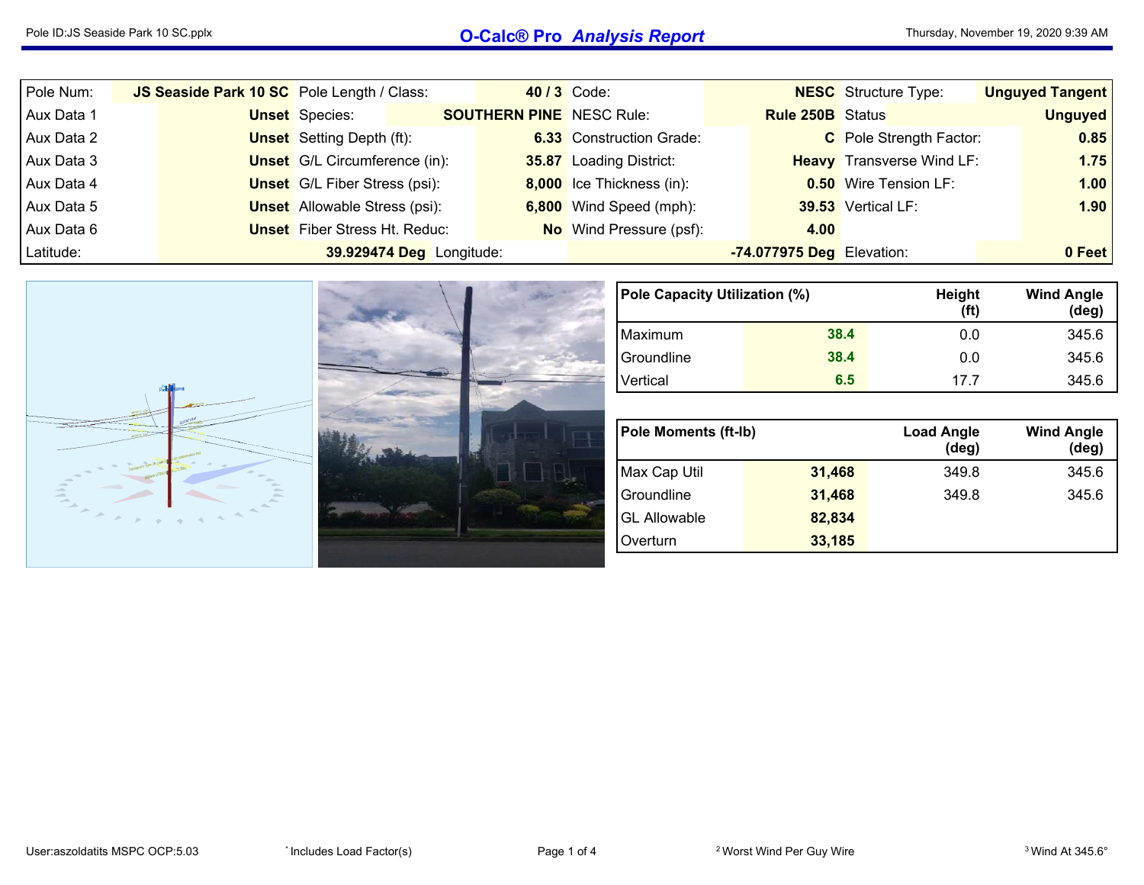## Pole ID:JS Seaside Park <sup>10</sup> SC.pplx **O-Calc® Pro** *Analysis Report*

| Pole Num:  | JS Seaside Park 10 SC Pole Length / Class: |                                      |                          |                                 | 40 / 3 Code:                    |                           | <b>NESC</b> Structure Type:      | <b>Unguyed Tangent</b> |
|------------|--------------------------------------------|--------------------------------------|--------------------------|---------------------------------|---------------------------------|---------------------------|----------------------------------|------------------------|
| Aux Data 1 |                                            | <b>Unset</b> Species:                |                          | <b>SOUTHERN PINE</b> NESC Rule: |                                 | <b>Rule 250B</b> Status   |                                  | <b>Unguyed</b>         |
| Aux Data 2 |                                            | <b>Unset</b> Setting Depth (ft):     |                          |                                 | <b>6.33</b> Construction Grade: |                           | C Pole Strength Factor:          | 0.85                   |
| Aux Data 3 |                                            | <b>Unset</b> G/L Circumference (in): |                          |                                 | 35.87 Loading District:         |                           | <b>Heavy</b> Transverse Wind LF: | $1.75$                 |
| Aux Data 4 |                                            | <b>Unset</b> G/L Fiber Stress (psi): |                          |                                 | 8,000 Ice Thickness (in):       |                           | <b>0.50</b> Wire Tension LF:     | 1.00                   |
| Aux Data 5 |                                            | <b>Unset</b> Allowable Stress (psi): |                          |                                 | 6,800 Wind Speed (mph):         |                           | 39.53 Vertical LF:               | 1.90                   |
| Aux Data 6 |                                            | <b>Unset</b> Fiber Stress Ht. Reduc: |                          |                                 | <b>No</b> Wind Pressure (psf):  | 4.00                      |                                  |                        |
| Latitude:  |                                            |                                      | 39.929474 Deg Longitude: |                                 |                                 | -74.077975 Deg Elevation: |                                  | 0 Feet                 |



| Pole Capacity Utilization (%) |      | Height<br>(ft) | <b>Wind Angle</b><br>$(\text{deg})$ |
|-------------------------------|------|----------------|-------------------------------------|
| Maximum                       | 38.4 | 0.0            | 345.6                               |
| Groundline                    | 38.4 | 0.0            | 345.6                               |
| Vertical                      | 6.5  | 17 7           | 345.6                               |

| <b>Pole Moments (ft-Ib)</b> |        | <b>Load Angle</b><br>$(\deg)$ | <b>Wind Angle</b><br>$(\text{deg})$ |
|-----------------------------|--------|-------------------------------|-------------------------------------|
| Max Cap Util                | 31,468 | 349.8                         | 345.6                               |
| Groundline                  | 31,468 | 349.8                         | 345.6                               |
| <b>GL Allowable</b>         | 82,834 |                               |                                     |
| Overturn                    | 33,185 |                               |                                     |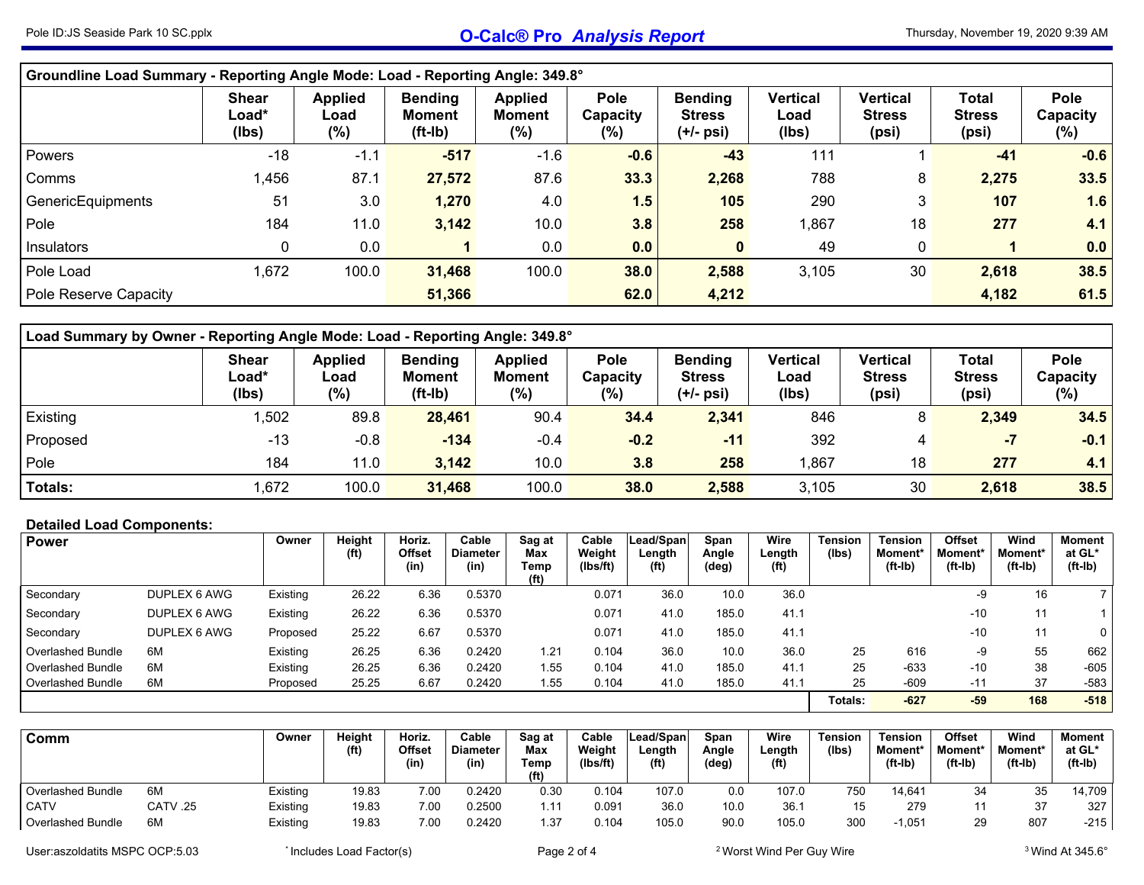| Groundline Load Summary - Reporting Angle Mode: Load - Reporting Angle: 349.8° |                                |                                   |                                              |                                        |                                   |                                              |                                  |                                           |                                        |                                   |  |  |  |  |
|--------------------------------------------------------------------------------|--------------------------------|-----------------------------------|----------------------------------------------|----------------------------------------|-----------------------------------|----------------------------------------------|----------------------------------|-------------------------------------------|----------------------------------------|-----------------------------------|--|--|--|--|
|                                                                                | <b>Shear</b><br>Load*<br>(Ibs) | <b>Applied</b><br>Load<br>$(\% )$ | <b>Bending</b><br><b>Moment</b><br>$(ft-lb)$ | <b>Applied</b><br><b>Moment</b><br>(%) | <b>Pole</b><br>Capacity<br>$(\%)$ | <b>Bending</b><br><b>Stress</b><br>(+/- psi) | <b>Vertical</b><br>Load<br>(Ibs) | <b>Vertical</b><br><b>Stress</b><br>(psi) | <b>Total</b><br><b>Stress</b><br>(psi) | <b>Pole</b><br>Capacity<br>$(\%)$ |  |  |  |  |
| <b>Powers</b>                                                                  | $-18$                          | $-1.1$                            | $-517$                                       | $-1.6$                                 | $-0.6$                            | $-43$                                        | 111                              |                                           | $-41$                                  | $-0.6$                            |  |  |  |  |
| Comms                                                                          | 1,456                          | 87.1                              | 27,572                                       | 87.6                                   | 33.3                              | 2,268                                        | 788                              | 8                                         | 2,275                                  | 33.5                              |  |  |  |  |
| GenericEquipments                                                              | 51                             | 3.0                               | 1,270                                        | 4.0                                    | 1.5                               | 105                                          | 290                              | 3                                         | 107                                    | 1.6                               |  |  |  |  |
| Pole                                                                           | 184                            | 11.0                              | 3,142                                        | 10.0                                   | 3.8                               | 258                                          | ,867                             | 18                                        | 277                                    | 4.1                               |  |  |  |  |
| Insulators                                                                     | 0                              | 0.0                               |                                              | 0.0                                    | 0.0                               | $\bf{0}$                                     | 49                               | 0                                         |                                        | 0.0                               |  |  |  |  |
| Pole Load                                                                      | 1,672                          | 100.0                             | 31,468                                       | 100.0                                  | 38.0                              | 2,588                                        | 3,105                            | 30                                        | 2,618                                  | 38.5                              |  |  |  |  |
| Pole Reserve Capacity                                                          |                                |                                   | 51,366                                       |                                        | 62.0                              | 4,212                                        |                                  |                                           | 4,182                                  | 61.5                              |  |  |  |  |

| <b>Load Summary by Owner - Reporting Angle Mode: Load - Reporting Angle: 349.8°</b> |                                |                                  |                                              |                                            |                         |                                                |                           |                                    |                                 |                         |  |  |  |  |
|-------------------------------------------------------------------------------------|--------------------------------|----------------------------------|----------------------------------------------|--------------------------------------------|-------------------------|------------------------------------------------|---------------------------|------------------------------------|---------------------------------|-------------------------|--|--|--|--|
|                                                                                     | <b>Shear</b><br>Load*<br>(lbs) | <b>Applied</b><br>∟oad<br>$(\%)$ | <b>Bending</b><br><b>Moment</b><br>$(ft-lb)$ | <b>Applied</b><br><b>Moment</b><br>$(\% )$ | Pole<br>Capacity<br>(%) | <b>Bending</b><br><b>Stress</b><br>$(+/-$ psi) | Vertical<br>Load<br>(lbs) | Vertical<br><b>Stress</b><br>(psi) | Total<br><b>Stress</b><br>(psi) | Pole<br>Capacitv<br>(%) |  |  |  |  |
| <b>Existing</b>                                                                     | ,502                           | 89.8                             | 28,461                                       | 90.4                                       | 34.4                    | 2,341                                          | 846                       | 8                                  | 2,349                           | 34.5                    |  |  |  |  |
| Proposed                                                                            | $-13$                          | $-0.8$                           | $-134$                                       | $-0.4$                                     | $-0.2$                  | $-11$                                          | 392                       | 4                                  | -7                              | $-0.1$                  |  |  |  |  |
| Pole                                                                                | 184                            | 11.0                             | 3,142                                        | 10.0                                       | 3.8                     | 258                                            | .867                      | 18                                 | 277                             | 4.1                     |  |  |  |  |
| <b>Totals:</b>                                                                      | ,672                           | 100.0                            | 31,468                                       | 100.0                                      | 38.0                    | 2,588                                          | 3,105                     | 30                                 | 2,618                           | 38.5                    |  |  |  |  |

## **Detailed Load Components:**

| <b>Power</b>             |              | Owner    | Height<br>(f <sup>t</sup> ) | Horiz.<br>Offset<br>(in) | Cable<br><b>Diameter</b><br>(in) | Sag at<br>Max<br>Temp<br>(f <sup>t</sup> ) | Cable<br>Weight<br>lbs/ft) | Lead/Span<br>Length<br>(f <sup>t</sup> ) | Span<br>Angle<br>(deg) | Wire<br>Length<br>(f <sup>t</sup> ) | <b>Tension</b><br>(Ibs) | <b>Tension</b><br>Moment*<br>(ft-Ib) | <b>Offset</b><br>Moment<br>(ft-Ib) | Wind<br>Moment*<br>$(ft-lb)$ | Moment<br>at GL*<br>$(ft-lb)$ |
|--------------------------|--------------|----------|-----------------------------|--------------------------|----------------------------------|--------------------------------------------|----------------------------|------------------------------------------|------------------------|-------------------------------------|-------------------------|--------------------------------------|------------------------------------|------------------------------|-------------------------------|
| Secondary                | DUPLEX 6 AWG | Existing | 26.22                       | 6.36                     | 0.5370                           |                                            | 0.071                      | 36.0                                     | 10.0                   | 36.0                                |                         |                                      | -9                                 | 16                           |                               |
| Secondary                | DUPLEX 6 AWG | Existing | 26.22                       | 6.36                     | 0.5370                           |                                            | 0.071                      | 41.0                                     | 185.0                  | 41.1                                |                         |                                      | $-10$                              | 11                           |                               |
| Secondary                | DUPLEX 6 AWG | Proposed | 25.22                       | 6.67                     | 0.5370                           |                                            | 0.071                      | 41.0                                     | 185.0                  | 41.1                                |                         |                                      | $-10$                              | 11                           | $\overline{0}$                |
| Overlashed Bundle        | 6M           | Existing | 26.25                       | 6.36                     | 0.2420                           | 1.21                                       | 0.104                      | 36.0                                     | 10.0                   | 36.0                                | 25                      | 616                                  | -9                                 | 55                           | 662                           |
| <b>Overlashed Bundle</b> | 6M           | Existing | 26.25                       | 6.36                     | 0.2420                           | 1.55                                       | 0.104                      | 41.0                                     | 185.0                  | 41.1                                | 25                      | $-633$                               | $-10$                              | 38                           | -605                          |
| Overlashed Bundle        | 6M           | Proposed | 25.25                       | 6.67                     | 0.2420                           | 1.55                                       | 0.104                      | 41.0                                     | 185.0                  | 41.1                                | 25                      | $-609$                               | $-11$                              | 37                           | $-583$                        |
|                          |              |          |                             |                          |                                  |                                            |                            |                                          |                        |                                     | Totals:                 | $-627$                               | $-59$                              | 168                          | $-518$                        |

| Comm              |          | Owner    | Height<br>(f <sup>t</sup> ) | Horiz.<br>Offset<br>(in) | Cable<br><b>Diameter</b><br>(in) | Sag at<br>Max<br>Temp<br>(ft) | Cable<br>Weight<br>(Ibs/ft) | Lead/Spani<br>Length<br>(f <sup>t</sup> ) | Span<br>Angle<br>(deg) | Wire<br>Length<br>(f <sup>t</sup> ) | Tension<br>(Ibs) | <b>Tension</b><br>Moment*<br>(ft-Ib, | <b>Offset</b><br>Moment*<br>$(ft-lb)$ | Wind<br><b>Moment</b><br>$(ft-lb)$ | Moment<br>at GL*<br>$(ft-lb)$ |
|-------------------|----------|----------|-----------------------------|--------------------------|----------------------------------|-------------------------------|-----------------------------|-------------------------------------------|------------------------|-------------------------------------|------------------|--------------------------------------|---------------------------------------|------------------------------------|-------------------------------|
| Overlashed Bundle | 6M       | Existing | 19.83                       | 7.00                     | 0.2420                           | 0.30                          | 0.104                       | 107.0                                     | 0.0                    | 107.0                               | 750              | 14,641                               | 34                                    | 35                                 | 14,709                        |
| CATV              | 25. CATV | Existing | 19.83                       | 7.00                     | 0.2500                           | 1.11                          | 0.091                       | 36.0                                      | 10.0                   | 36.7                                | 15               | 279                                  |                                       | 37                                 | 327                           |
| Overlashed Bundle | 6M       | Existing | 19.83                       | 7.00                     | 0.2420                           | 1.37                          | 0.104                       | 105.0                                     | 90.0                   | 105.0                               | 300              | $-1,051$                             | 29                                    | 807                                | $-215$                        |